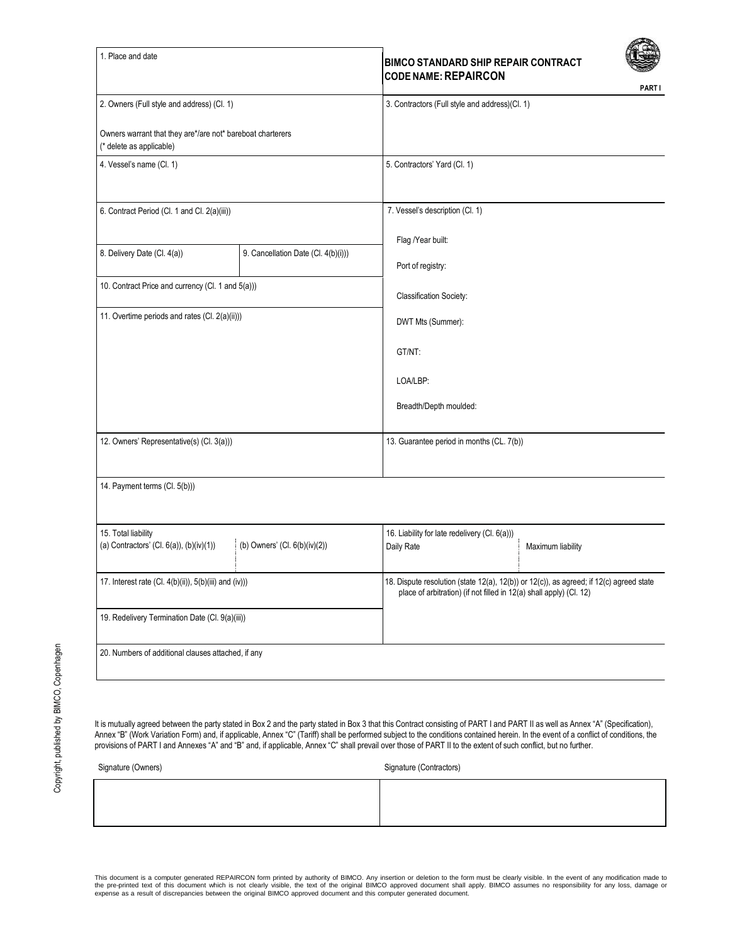| 1. Place and date<br>2. Owners (Full style and address) (Cl. 1)                        |                                     | <b>BIMCO STANDARD SHIP REPAIR CONTRACT</b><br><b>CODE NAME: REPAIRCON</b><br><b>PARTI</b><br>3. Contractors (Full style and address)(Cl. 1) |                                                                                         |  |  |
|----------------------------------------------------------------------------------------|-------------------------------------|---------------------------------------------------------------------------------------------------------------------------------------------|-----------------------------------------------------------------------------------------|--|--|
| Owners warrant that they are*/are not* bareboat charterers<br>(* delete as applicable) |                                     |                                                                                                                                             |                                                                                         |  |  |
| 4. Vessel's name (Cl. 1)                                                               |                                     | 5. Contractors' Yard (Cl. 1)                                                                                                                |                                                                                         |  |  |
| 6. Contract Period (Cl. 1 and Cl. 2(a)(iii))                                           |                                     | 7. Vessel's description (Cl. 1)<br>Flag /Year built:                                                                                        |                                                                                         |  |  |
| 8. Delivery Date (Cl. 4(a))                                                            | 9. Cancellation Date (Cl. 4(b)(i))) | Port of registry:                                                                                                                           |                                                                                         |  |  |
| 10. Contract Price and currency (Cl. 1 and 5(a)))                                      |                                     | Classification Society:                                                                                                                     |                                                                                         |  |  |
| 11. Overtime periods and rates (Cl. 2(a)(ii)))                                         |                                     | DWT Mts (Summer):<br>GT/NT:<br>LOA/LBP:<br>Breadth/Depth moulded:                                                                           |                                                                                         |  |  |
| 12. Owners' Representative(s) (Cl. 3(a)))                                              |                                     | 13. Guarantee period in months (CL. 7(b))                                                                                                   |                                                                                         |  |  |
| 14. Payment terms (Cl. 5(b)))                                                          |                                     |                                                                                                                                             |                                                                                         |  |  |
| 15. Total liability<br>(a) Contractors' (Cl. $6(a)$ ), $(b)(iv)(1)$ )                  | (b) Owners' (Cl. 6(b)(iv)(2))       | 16. Liability for late redelivery (Cl. 6(a)))<br>Daily Rate                                                                                 | Maximum liability                                                                       |  |  |
| 17. Interest rate (Cl. 4(b)(ii)), 5(b)(iii) and (iv)))                                 |                                     | place of arbitration) (if not filled in 12(a) shall apply) (Cl. 12)                                                                         | 18. Dispute resolution (state 12(a), 12(b)) or 12(c)), as agreed; if 12(c) agreed state |  |  |
| 19. Redelivery Termination Date (Cl. 9(a)(iii))                                        |                                     |                                                                                                                                             |                                                                                         |  |  |
| 20. Numbers of additional clauses attached, if any                                     |                                     |                                                                                                                                             |                                                                                         |  |  |

It is mutually agreed between the party stated in Box 2 and the party stated in Box 3 that this Contract consisting of PART I and PART II as well as Annex "A" (Specification), Annex "B" (Work Variation Form) and, if applicable, Annex "C" (Tariff) shall be performed subject to the conditions contained herein. In the event of a conflict of conditions, the provisions of PART I and Annexes "A" and "B" and, if applicable, Annex "C" shall prevail over those of PART II to the extent of such conflict, but no further.

Signature (Owners) Signature (Contractors)

This document is a computer generated REPAIRCON form printed by authority of BIMCO. Any insertion or deletion to the form must be clearly visible. In the event of any modification made to<br>the pre-printed text of this docum expense as a result of discrepancies between the original BIMCO approved document and this computer generated document.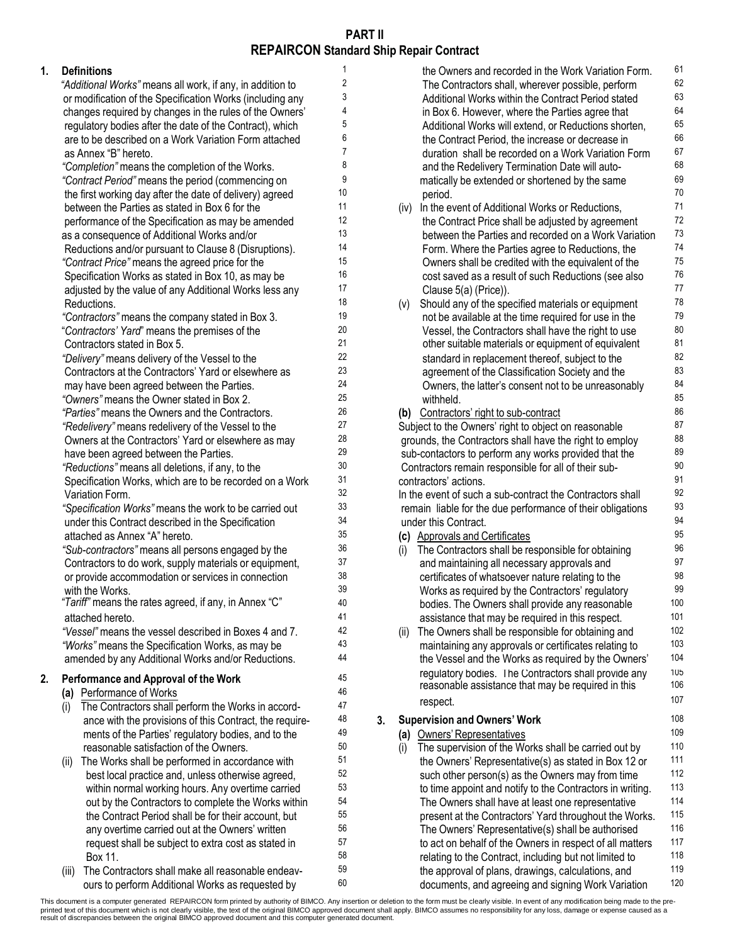| 1. | <b>Definitions</b>                                                       |                |    |      | the Owners and recorded in the Work Variation Form.                                                        | 61       |
|----|--------------------------------------------------------------------------|----------------|----|------|------------------------------------------------------------------------------------------------------------|----------|
|    | "Additional Works" means all work, if any, in addition to                | 2              |    |      | The Contractors shall, wherever possible, perform                                                          | 62       |
|    | or modification of the Specification Works (including any                | 3              |    |      | Additional Works within the Contract Period stated                                                         | 63       |
|    | changes required by changes in the rules of the Owners'                  | 4              |    |      | in Box 6. However, where the Parties agree that                                                            | 64       |
|    | regulatory bodies after the date of the Contract), which                 | 5              |    |      | Additional Works will extend, or Reductions shorten,                                                       | 65       |
|    | are to be described on a Work Variation Form attached                    | 6              |    |      | the Contract Period, the increase or decrease in                                                           | 66       |
|    | as Annex "B" hereto.                                                     | $\overline{7}$ |    |      | duration shall be recorded on a Work Variation Form                                                        | 67       |
|    | "Completion" means the completion of the Works.                          | 8              |    |      | and the Redelivery Termination Date will auto-                                                             | 68       |
|    | "Contract Period" means the period (commencing on                        | 9              |    |      | matically be extended or shortened by the same                                                             | 69       |
|    | the first working day after the date of delivery) agreed                 | 10             |    |      | period.                                                                                                    | 70       |
|    | between the Parties as stated in Box 6 for the                           | 11             |    | (iv) | In the event of Additional Works or Reductions,                                                            | 71       |
|    | performance of the Specification as may be amended                       | 12             |    |      | the Contract Price shall be adjusted by agreement                                                          | 72       |
|    | as a consequence of Additional Works and/or                              | 13             |    |      | between the Parties and recorded on a Work Variation                                                       | 73       |
|    | Reductions and/or pursuant to Clause 8 (Disruptions).                    | 14             |    |      | Form. Where the Parties agree to Reductions, the                                                           | 74       |
|    | "Contract Price" means the agreed price for the                          | 15             |    |      | Owners shall be credited with the equivalent of the                                                        | 75       |
|    | Specification Works as stated in Box 10, as may be                       | 16             |    |      | cost saved as a result of such Reductions (see also                                                        | 76       |
|    | adjusted by the value of any Additional Works less any                   | 17             |    |      | Clause 5(a) (Price)).                                                                                      | 77       |
|    | Reductions.                                                              | 18             |    | (v)  | Should any of the specified materials or equipment                                                         | 78       |
|    | "Contractors" means the company stated in Box 3.                         | 19             |    |      | not be available at the time required for use in the                                                       | 79       |
|    | "Contractors' Yard" means the premises of the                            | 20             |    |      | Vessel, the Contractors shall have the right to use                                                        | 80       |
|    | Contractors stated in Box 5.                                             | 21             |    |      | other suitable materials or equipment of equivalent                                                        | 81       |
|    | "Delivery" means delivery of the Vessel to the                           | 22             |    |      | standard in replacement thereof, subject to the                                                            | 82       |
|    | Contractors at the Contractors' Yard or elsewhere as                     | 23             |    |      | agreement of the Classification Society and the                                                            | 83       |
|    | may have been agreed between the Parties.                                | 24             |    |      | Owners, the latter's consent not to be unreasonably                                                        | 84       |
|    | "Owners" means the Owner stated in Box 2.                                | 25             |    |      | withheld.                                                                                                  | 85       |
|    | "Parties" means the Owners and the Contractors.                          | 26             |    |      | (b) Contractors' right to sub-contract                                                                     | 86       |
|    | "Redelivery" means redelivery of the Vessel to the                       | 27             |    |      | Subject to the Owners' right to object on reasonable                                                       | 87       |
|    | Owners at the Contractors' Yard or elsewhere as may                      | 28             |    |      | grounds, the Contractors shall have the right to employ                                                    | 88<br>89 |
|    | have been agreed between the Parties.                                    | 29<br>30       |    |      | sub-contactors to perform any works provided that the                                                      | 90       |
|    | "Reductions" means all deletions, if any, to the                         |                |    |      | Contractors remain responsible for all of their sub-                                                       | 91       |
|    | Specification Works, which are to be recorded on a Work                  | 31             |    |      | contractors' actions.                                                                                      | 92       |
|    | Variation Form.                                                          | 32<br>33       |    |      | In the event of such a sub-contract the Contractors shall                                                  | 93       |
|    | "Specification Works" means the work to be carried out                   | 34             |    |      | remain liable for the due performance of their obligations                                                 | 94       |
|    | under this Contract described in the Specification                       | 35             |    |      | under this Contract.                                                                                       | 95       |
|    | attached as Annex "A" hereto.                                            | 36             |    |      | (c) Approvals and Certificates                                                                             | 96       |
|    | "Sub-contractors" means all persons engaged by the                       | 37             |    | (i)  | The Contractors shall be responsible for obtaining                                                         | 97       |
|    | Contractors to do work, supply materials or equipment,                   | 38             |    |      | and maintaining all necessary approvals and                                                                | 98       |
|    | or provide accommodation or services in connection                       | 39             |    |      | certificates of whatsoever nature relating to the                                                          | 99       |
|    | with the Works.<br>"Tariff" means the rates agreed, if any, in Annex "C" | 40             |    |      | Works as required by the Contractors' regulatory                                                           | 100      |
|    | attached hereto.                                                         | 41             |    |      | bodies. The Owners shall provide any reasonable                                                            | 101      |
|    | "Vessel" means the vessel described in Boxes 4 and 7.                    | 42             |    |      | assistance that may be required in this respect.                                                           | 102      |
|    |                                                                          | 43             |    | (ii) | The Owners shall be responsible for obtaining and                                                          | 103      |
|    | "Works" means the Specification Works, as may be                         | 44             |    |      | maintaining any approvals or certificates relating to                                                      | 104      |
|    | amended by any Additional Works and/or Reductions.                       |                |    |      | the Vessel and the Works as required by the Owners'                                                        | 105      |
| 2. | Performance and Approval of the Work                                     | 45             |    |      | regulatory bodies. The Contractors shall provide any<br>reasonable assistance that may be required in this | 106      |
|    | Performance of Works<br>(a)                                              | 46             |    |      |                                                                                                            | 107      |
|    | The Contractors shall perform the Works in accord-<br>(i)                | 47             |    |      | respect.                                                                                                   |          |
|    | ance with the provisions of this Contract, the require-                  | 48             | 3. |      | <b>Supervision and Owners' Work</b>                                                                        | 108      |
|    | ments of the Parties' regulatory bodies, and to the                      | 49             |    |      | (a) Owners' Representatives                                                                                | 109      |
|    | reasonable satisfaction of the Owners.                                   | 50             |    | (i)  | The supervision of the Works shall be carried out by                                                       | 110      |
|    | The Works shall be performed in accordance with<br>(ii)                  | 51             |    |      | the Owners' Representative(s) as stated in Box 12 or                                                       | 111      |
|    | best local practice and, unless otherwise agreed,                        | 52             |    |      | such other person(s) as the Owners may from time                                                           | 112      |
|    | within normal working hours. Any overtime carried                        | 53             |    |      | to time appoint and notify to the Contractors in writing.                                                  | 113      |
|    | out by the Contractors to complete the Works within                      | 54             |    |      | The Owners shall have at least one representative                                                          | 114      |
|    | the Contract Period shall be for their account, but                      | 55             |    |      | present at the Contractors' Yard throughout the Works.                                                     | 115      |
|    | any overtime carried out at the Owners' written                          | 56             |    |      | The Owners' Representative(s) shall be authorised                                                          | 116      |
|    | request shall be subject to extra cost as stated in                      | 57             |    |      | to act on behalf of the Owners in respect of all matters                                                   | 117      |
|    | Box 11.                                                                  | 58             |    |      | relating to the Contract, including but not limited to                                                     | 118      |
|    | The Contractors shall make all reasonable endeav-<br>(iii)               | 59             |    |      | the approval of plans, drawings, calculations, and                                                         | 119      |
|    | ours to perform Additional Works as requested by                         | 60             |    |      | documents, and agreeing and signing Work Variation                                                         | 120      |

This document is a computer generated REPAIRCON form printed by authority of BIMCO. Any insertion or deletion to the form must be clearly visible. In event of any modification being made to the pre-<br>printed text of this d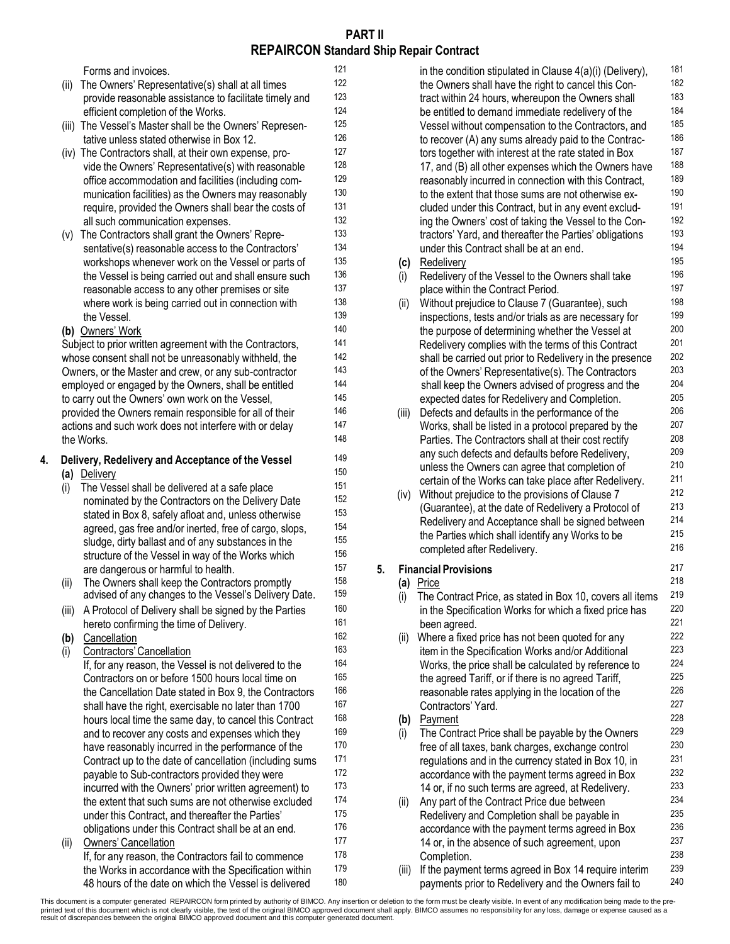Forms and invoices. 121<br>The Cwners' Penresentative(s) shall at all times 4(a)

- (ii) The Owners' Representative(s) shall at all times provide reasonable assistance to facilitate timely and 123<br>efficient completion of the Works shall 124 efficient completion of the Works. 124 be entitled to demand immediate redeling immediate redeling immediate r<br>The Vessel's Master shall be the Owners' Represen-
- (iii) The Vessel's Master shall be the Owners' Representative unless stated otherwise in Box 12. 126 to 126 to recover (A) and the Contractors shall at their own axpense pro-
- (iv) The Contractors shall, at their own expense, pro- 127<br>vide the Owners' Penresentative(s) with reasonable 128 vide the Owners' Representative(s) with reasonable office accommodation and facilities (including com<sup>129</sup> munication facilities) as the Owners may reasonably 130 require, provided the Owners shall bear the costs of 131 all such communication expenses. 132
- (v) The Contractors shall grant the Owners' Repre-  $133$  $s$ entative(s) reasonable access to the Contractors'  $134$ <br>workshops whenever work on the Vessel or parts of  $135$ workshops whenever work on the Vessel or parts of <sup>135</sup><br>the Vessel is being carried out and shall ensure such 136 the Vessel is being carried out and shall ensure such  $136$ <br>reasonable access to any other premises or site  $137$ reasonable access to any other premises or site where work is being carried out in connection with  $138$ <br>the Vessel (39

- **4. Delivery, Redelivery and Acceptance of the Vessel** 149 **(a)** Delivery 150<br> **(i)** The Vessel shall be delivered at a safe place 151
	- (i) The Vessel shall be delivered at a safe place  $151$ <br>nominated by the Contractors on the Delivery Date  $152$ nominated by the Contractors on the Delivery Date stated in Box 8, safely afloat and, unless otherwise 153 agreed, gas free and/or inerted, free of cargo, slops,  $154$ <br>sludge, dirty ballast and of any substances in the  $155$ sludge, dirty ballast and of any substances in the structure of the Vessel in way of the Works which 156 are dangerous or harmful to health. 157
	- (ii) The Owners shall keep the Contractors promptly  $158$ <br>advised of any changes to the Vessel's Delivery Date  $159$ advised of any changes to the Vessel's Delivery Date.
	- (iii) A Protocol of Delivery shall be signed by the Parties 160 hereto confirming the time of Delivery. 161<br>Cancellation 162
	- (b) Cancellation
	- (i) Contractors'Cancellation 163

the Works in accordance with the Specification within 179 48 hours of the date on which the Vessel is delivered 180

|       | Forms and invoices.                                      | 121        |    |       | in the condition stipulated in Clause $4(a)(i)$ (Delivery), | 181 |
|-------|----------------------------------------------------------|------------|----|-------|-------------------------------------------------------------|-----|
| (ii)  | The Owners' Representative(s) shall at all times         | 122        |    |       | the Owners shall have the right to cancel this Con-         | 182 |
|       | provide reasonable assistance to facilitate timely and   | 123        |    |       | tract within 24 hours, whereupon the Owners shall           | 183 |
|       | efficient completion of the Works.                       | 124        |    |       | be entitled to demand immediate redelivery of the           | 184 |
|       | (iii) The Vessel's Master shall be the Owners' Represen- | 125        |    |       | Vessel without compensation to the Contractors, and         | 185 |
|       | tative unless stated otherwise in Box 12.                | 126        |    |       | to recover (A) any sums already paid to the Contrac-        | 186 |
|       | (iv) The Contractors shall, at their own expense, pro-   | 127        |    |       | tors together with interest at the rate stated in Box       | 187 |
|       | vide the Owners' Representative(s) with reasonable       | 128        |    |       | 17, and (B) all other expenses which the Owners have        | 188 |
|       | office accommodation and facilities (including com-      | 129        |    |       | reasonably incurred in connection with this Contract,       | 189 |
|       | munication facilities) as the Owners may reasonably      | 130        |    |       | to the extent that those sums are not otherwise ex-         | 190 |
|       | require, provided the Owners shall bear the costs of     | 131        |    |       | cluded under this Contract, but in any event exclud-        | 191 |
|       | all such communication expenses.                         | 132        |    |       | ing the Owners' cost of taking the Vessel to the Con-       | 192 |
| (v)   | The Contractors shall grant the Owners' Repre-           | 133        |    |       | tractors' Yard, and thereafter the Parties' obligations     | 193 |
|       | sentative(s) reasonable access to the Contractors'       | 134        |    |       | under this Contract shall be at an end.                     | 194 |
|       | workshops whenever work on the Vessel or parts of        | 135        |    | (c)   | Redelivery                                                  | 195 |
|       | the Vessel is being carried out and shall ensure such    | 136        |    | (i)   | Redelivery of the Vessel to the Owners shall take           | 196 |
|       | reasonable access to any other premises or site          | 137        |    |       | place within the Contract Period.                           | 197 |
|       | where work is being carried out in connection with       | 138        |    | (ii)  | Without prejudice to Clause 7 (Guarantee), such             | 198 |
|       | the Vessel.                                              | 139        |    |       | inspections, tests and/or trials as are necessary for       | 199 |
|       | (b) Owners' Work                                         | 140        |    |       | the purpose of determining whether the Vessel at            | 200 |
|       | Subject to prior written agreement with the Contractors, | 141        |    |       | Redelivery complies with the terms of this Contract         | 201 |
|       | whose consent shall not be unreasonably withheld, the    | 142        |    |       | shall be carried out prior to Redelivery in the presence    | 202 |
|       | Owners, or the Master and crew, or any sub-contractor    | 143        |    |       | of the Owners' Representative(s). The Contractors           | 203 |
|       | employed or engaged by the Owners, shall be entitled     | 144        |    |       | shall keep the Owners advised of progress and the           | 204 |
|       | to carry out the Owners' own work on the Vessel,         | 145        |    |       | expected dates for Redelivery and Completion.               | 205 |
|       | provided the Owners remain responsible for all of their  | 146        |    | (iii) | Defects and defaults in the performance of the              | 206 |
|       | actions and such work does not interfere with or delay   | 147        |    |       | Works, shall be listed in a protocol prepared by the        | 207 |
|       | the Works.                                               | 148        |    |       | Parties. The Contractors shall at their cost rectify        | 208 |
|       |                                                          | 149        |    |       | any such defects and defaults before Redelivery,            | 209 |
|       | Delivery, Redelivery and Acceptance of the Vessel        |            |    |       | unless the Owners can agree that completion of              | 210 |
|       | (a) Delivery                                             | 150        |    |       | certain of the Works can take place after Redelivery.       | 211 |
| (i)   | The Vessel shall be delivered at a safe place            | 151        |    |       | (iv) Without prejudice to the provisions of Clause 7        | 212 |
|       | nominated by the Contractors on the Delivery Date        | 152        |    |       | (Guarantee), at the date of Redelivery a Protocol of        | 213 |
|       | stated in Box 8, safely afloat and, unless otherwise     | 153        |    |       | Redelivery and Acceptance shall be signed between           | 214 |
|       | agreed, gas free and/or inerted, free of cargo, slops,   | 154        |    |       | the Parties which shall identify any Works to be            | 215 |
|       | sludge, dirty ballast and of any substances in the       | 155        |    |       | completed after Redelivery.                                 | 216 |
|       | structure of the Vessel in way of the Works which        | 156        |    |       |                                                             |     |
|       | are dangerous or harmful to health.                      | 157        | 5. |       | <b>Financial Provisions</b>                                 | 217 |
| (ii)  | The Owners shall keep the Contractors promptly           | 158<br>159 |    | (a)   | <b>Price</b>                                                | 218 |
|       | advised of any changes to the Vessel's Delivery Date.    |            |    | (i)   | The Contract Price, as stated in Box 10, covers all items   | 219 |
| (iii) | A Protocol of Delivery shall be signed by the Parties    | 160        |    |       | in the Specification Works for which a fixed price has      | 220 |
|       | hereto confirming the time of Delivery.                  | 161        |    |       | been agreed.                                                | 221 |
| (b)   | Cancellation                                             | 162        |    | (ii)  | Where a fixed price has not been quoted for any             | 222 |
| (i)   | <b>Contractors' Cancellation</b>                         | 163        |    |       | item in the Specification Works and/or Additional           | 223 |
|       | If, for any reason, the Vessel is not delivered to the   | 164        |    |       | Works, the price shall be calculated by reference to        | 224 |
|       | Contractors on or before 1500 hours local time on        | 165        |    |       | the agreed Tariff, or if there is no agreed Tariff,         | 225 |
|       | the Cancellation Date stated in Box 9, the Contractors   | 166        |    |       | reasonable rates applying in the location of the            | 226 |
|       | shall have the right, exercisable no later than 1700     | 167        |    |       | Contractors' Yard.                                          | 227 |
|       | hours local time the same day, to cancel this Contract   | 168        |    | (b)   | Payment                                                     | 228 |
|       | and to recover any costs and expenses which they         | 169        |    | (i)   | The Contract Price shall be payable by the Owners           | 229 |
|       | have reasonably incurred in the performance of the       | 170        |    |       | free of all taxes, bank charges, exchange control           | 230 |
|       | Contract up to the date of cancellation (including sums  | 171        |    |       | regulations and in the currency stated in Box 10, in        | 231 |
|       | payable to Sub-contractors provided they were            | 172        |    |       | accordance with the payment terms agreed in Box             | 232 |
|       | incurred with the Owners' prior written agreement) to    | 173        |    |       | 14 or, if no such terms are agreed, at Redelivery.          | 233 |
|       | the extent that such sums are not otherwise excluded     | 174        |    | (ii)  | Any part of the Contract Price due between                  | 234 |
|       | under this Contract, and thereafter the Parties'         | 175        |    |       | Redelivery and Completion shall be payable in               | 235 |
|       | obligations under this Contract shall be at an end.      | 176        |    |       | accordance with the payment terms agreed in Box             | 236 |
| (ii)  | Owners' Cancellation                                     | 177        |    |       | 14 or, in the absence of such agreement, upon               | 237 |
|       | If, for any reason, the Contractors fail to commence     | 178        |    |       | Completion.                                                 | 238 |
|       | the Works in accordance with the Specification within    | 179        |    | (iii) | If the payment terms agreed in Box 14 require interim       | 239 |
|       | 48 hours of the date on which the Vessel is delivered    | 180        |    |       | payments prior to Redelivery and the Owners fail to         | 240 |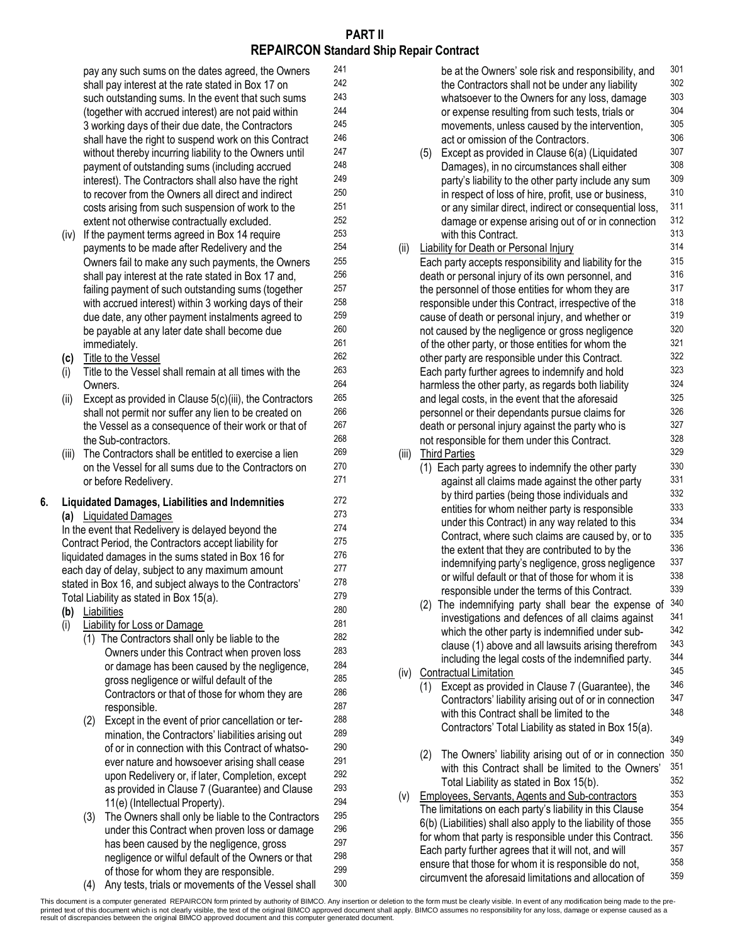|    |       | pay any such sums on the dates agreed, the Owners          | 241 |       |                        | be at the Owners' sole risk and responsibility, and           | 301 |
|----|-------|------------------------------------------------------------|-----|-------|------------------------|---------------------------------------------------------------|-----|
|    |       | shall pay interest at the rate stated in Box 17 on         | 242 |       |                        | the Contractors shall not be under any liability              | 302 |
|    |       | such outstanding sums. In the event that such sums         | 243 |       |                        | whatsoever to the Owners for any loss, damage                 | 303 |
|    |       |                                                            | 244 |       |                        |                                                               | 304 |
|    |       | (together with accrued interest) are not paid within       |     |       |                        | or expense resulting from such tests, trials or               |     |
|    |       | 3 working days of their due date, the Contractors          | 245 |       |                        | movements, unless caused by the intervention,                 | 305 |
|    |       | shall have the right to suspend work on this Contract      | 246 |       |                        | act or omission of the Contractors.                           | 306 |
|    |       | without thereby incurring liability to the Owners until    | 247 |       | (5)                    | Except as provided in Clause 6(a) (Liquidated                 | 307 |
|    |       | payment of outstanding sums (including accrued             | 248 |       |                        | Damages), in no circumstances shall either                    | 308 |
|    |       | interest). The Contractors shall also have the right       | 249 |       |                        | party's liability to the other party include any sum          | 309 |
|    |       | to recover from the Owners all direct and indirect         | 250 |       |                        | in respect of loss of hire, profit, use or business,          | 310 |
|    |       | costs arising from such suspension of work to the          | 251 |       |                        | or any similar direct, indirect or consequential loss,        | 311 |
|    |       | extent not otherwise contractually excluded.               | 252 |       |                        | damage or expense arising out of or in connection             | 312 |
|    |       |                                                            | 253 |       | with this Contract.    |                                                               | 313 |
|    | (iv)  | If the payment terms agreed in Box 14 require              | 254 |       |                        |                                                               | 314 |
|    |       | payments to be made after Redelivery and the               |     | (ii)  |                        | Liability for Death or Personal Injury                        |     |
|    |       | Owners fail to make any such payments, the Owners          | 255 |       |                        | Each party accepts responsibility and liability for the       | 315 |
|    |       | shall pay interest at the rate stated in Box 17 and,       | 256 |       |                        | death or personal injury of its own personnel, and            | 316 |
|    |       | failing payment of such outstanding sums (together         | 257 |       |                        | the personnel of those entities for whom they are             | 317 |
|    |       | with accrued interest) within 3 working days of their      | 258 |       |                        | responsible under this Contract, irrespective of the          | 318 |
|    |       | due date, any other payment instalments agreed to          | 259 |       |                        | cause of death or personal injury, and whether or             | 319 |
|    |       | be payable at any later date shall become due              | 260 |       |                        | not caused by the negligence or gross negligence              | 320 |
|    |       | immediately.                                               | 261 |       |                        | of the other party, or those entities for whom the            | 321 |
|    | (c)   | Title to the Vessel                                        | 262 |       |                        | other party are responsible under this Contract.              | 322 |
|    | (i)   | Title to the Vessel shall remain at all times with the     | 263 |       |                        | Each party further agrees to indemnify and hold               | 323 |
|    |       | Owners.                                                    | 264 |       |                        | harmless the other party, as regards both liability           | 324 |
|    | (ii)  | Except as provided in Clause $5(c)(iii)$ , the Contractors | 265 |       |                        | and legal costs, in the event that the aforesaid              | 325 |
|    |       | shall not permit nor suffer any lien to be created on      | 266 |       |                        |                                                               | 326 |
|    |       |                                                            | 267 |       |                        | personnel or their dependants pursue claims for               | 327 |
|    |       | the Vessel as a consequence of their work or that of       | 268 |       |                        | death or personal injury against the party who is             | 328 |
|    |       | the Sub-contractors.                                       | 269 |       |                        | not responsible for them under this Contract.                 | 329 |
|    | (iii) | The Contractors shall be entitled to exercise a lien       |     | (iii) | <b>Third Parties</b>   |                                                               |     |
|    |       | on the Vessel for all sums due to the Contractors on       | 270 |       |                        | (1) Each party agrees to indemnify the other party            | 330 |
|    |       | or before Redelivery.                                      | 271 |       |                        | against all claims made against the other party               | 331 |
| 6. |       | Liquidated Damages, Liabilities and Indemnities            | 272 |       |                        | by third parties (being those individuals and                 | 332 |
|    |       | (a) Liquidated Damages                                     | 273 |       |                        | entities for whom neither party is responsible                | 333 |
|    |       | In the event that Redelivery is delayed beyond the         | 274 |       |                        | under this Contract) in any way related to this               | 334 |
|    |       |                                                            | 275 |       |                        | Contract, where such claims are caused by, or to              | 335 |
|    |       | Contract Period, the Contractors accept liability for      | 276 |       |                        | the extent that they are contributed to by the                | 336 |
|    |       | liquidated damages in the sums stated in Box 16 for        | 277 |       |                        | indemnifying party's negligence, gross negligence             | 337 |
|    |       | each day of delay, subject to any maximum amount           |     |       |                        | or wilful default or that of those for whom it is             | 338 |
|    |       | stated in Box 16, and subject always to the Contractors'   | 278 |       |                        | responsible under the terms of this Contract.                 | 339 |
|    |       | Total Liability as stated in Box 15(a).                    | 279 |       |                        | (2) The indemnifying party shall bear the expense of 340      |     |
|    | (b)   | Liabilities                                                | 280 |       |                        | investigations and defences of all claims against             | 341 |
|    | (i)   | <b>Liability for Loss or Damage</b>                        | 281 |       |                        | which the other party is indemnified under sub-               | 342 |
|    |       | (1) The Contractors shall only be liable to the            | 282 |       |                        |                                                               | 343 |
|    |       | Owners under this Contract when proven loss                | 283 |       |                        | clause (1) above and all lawsuits arising therefrom           | 344 |
|    |       | or damage has been caused by the negligence,               | 284 |       |                        | including the legal costs of the indemnified party.           | 345 |
|    |       | gross negligence or wilful default of the                  | 285 | (iv)  | Contractual Limitation |                                                               |     |
|    |       | Contractors or that of those for whom they are             | 286 |       | (1)                    | Except as provided in Clause 7 (Guarantee), the               | 346 |
|    |       | responsible.                                               | 287 |       |                        | Contractors' liability arising out of or in connection        | 347 |
|    |       | Except in the event of prior cancellation or ter-<br>(2)   | 288 |       |                        | with this Contract shall be limited to the                    | 348 |
|    |       | mination, the Contractors' liabilities arising out         | 289 |       |                        | Contractors' Total Liability as stated in Box 15(a).          |     |
|    |       |                                                            | 290 |       |                        |                                                               | 349 |
|    |       | of or in connection with this Contract of whatso-          | 291 |       | (2)                    | The Owners' liability arising out of or in connection         | 350 |
|    |       | ever nature and howsoever arising shall cease              |     |       |                        | with this Contract shall be limited to the Owners'            | 351 |
|    |       | upon Redelivery or, if later, Completion, except           | 292 |       |                        | Total Liability as stated in Box 15(b).                       | 352 |
|    |       | as provided in Clause 7 (Guarantee) and Clause             | 293 | (V)   |                        | Employees, Servants, Agents and Sub-contractors               | 353 |
|    |       | 11(e) (Intellectual Property).                             | 294 |       |                        | The limitations on each party's liability in this Clause      | 354 |
|    |       | The Owners shall only be liable to the Contractors<br>(3)  | 295 |       |                        | 6(b) (Liabilities) shall also apply to the liability of those | 355 |
|    |       | under this Contract when proven loss or damage             | 296 |       |                        |                                                               | 356 |
|    |       | has been caused by the negligence, gross                   | 297 |       |                        | for whom that party is responsible under this Contract.       | 357 |
|    |       | negligence or wilful default of the Owners or that         | 298 |       |                        | Each party further agrees that it will not, and will          | 358 |
|    |       | of those for whom they are responsible.                    | 299 |       |                        | ensure that those for whom it is responsible do not,          |     |
|    |       | Any tests, trials or movements of the Vessel shall<br>(4)  | 300 |       |                        | circumvent the aforesaid limitations and allocation of        | 359 |
|    |       |                                                            |     |       |                        |                                                               |     |

|       |                      | be at the Owners' sole risk and responsibility, and           | 301 |
|-------|----------------------|---------------------------------------------------------------|-----|
|       |                      | the Contractors shall not be under any liability              | 302 |
|       |                      | whatsoever to the Owners for any loss, damage                 | 303 |
|       |                      | or expense resulting from such tests, trials or               | 304 |
|       |                      | movements, unless caused by the intervention,                 | 305 |
|       |                      | act or omission of the Contractors.                           | 306 |
|       | (5)                  | Except as provided in Clause 6(a) (Liquidated                 | 307 |
|       |                      | Damages), in no circumstances shall either                    | 308 |
|       |                      | party's liability to the other party include any sum          | 309 |
|       |                      | in respect of loss of hire, profit, use or business,          | 310 |
|       |                      | or any similar direct, indirect or consequential loss,        | 311 |
|       |                      | damage or expense arising out of or in connection             | 312 |
|       |                      | with this Contract.                                           | 313 |
| (ii)  |                      | <b>Liability for Death or Personal Injury</b>                 | 314 |
|       |                      | Each party accepts responsibility and liability for the       | 315 |
|       |                      | death or personal injury of its own personnel, and            | 316 |
|       |                      | the personnel of those entities for whom they are             | 317 |
|       |                      | responsible under this Contract, irrespective of the          | 318 |
|       |                      | cause of death or personal injury, and whether or             | 319 |
|       |                      | not caused by the negligence or gross negligence              | 320 |
|       |                      | of the other party, or those entities for whom the            | 321 |
|       |                      | other party are responsible under this Contract.              | 322 |
|       |                      | Each party further agrees to indemnify and hold               | 323 |
|       |                      | harmless the other party, as regards both liability           | 324 |
|       |                      | and legal costs, in the event that the aforesaid              | 325 |
|       |                      | personnel or their dependants pursue claims for               | 326 |
|       |                      | death or personal injury against the party who is             | 327 |
|       |                      | not responsible for them under this Contract.                 | 328 |
| (iii) | <b>Third Parties</b> |                                                               | 329 |
|       |                      | (1) Each party agrees to indemnify the other party            | 330 |
|       |                      | against all claims made against the other party               | 331 |
|       |                      | by third parties (being those individuals and                 | 332 |
|       |                      | entities for whom neither party is responsible                | 333 |
|       |                      | under this Contract) in any way related to this               | 334 |
|       |                      | Contract, where such claims are caused by, or to              | 335 |
|       |                      | the extent that they are contributed to by the                | 336 |
|       |                      | indemnifying party's negligence, gross negligence             | 337 |
|       |                      | or wilful default or that of those for whom it is             | 338 |
|       |                      | responsible under the terms of this Contract.                 | 339 |
|       | (2)                  | The indemnifying party shall bear the expense of              | 340 |
|       |                      | investigations and defences of all claims against             | 341 |
|       |                      | which the other party is indemnified under sub-               | 342 |
|       |                      | clause (1) above and all lawsuits arising therefrom           | 343 |
|       |                      | including the legal costs of the indemnified party.           | 344 |
| (iv)  |                      | Contractual Limitation                                        | 345 |
|       | (1)                  | Except as provided in Clause 7 (Guarantee), the               | 346 |
|       |                      | Contractors' liability arising out of or in connection        | 347 |
|       |                      | with this Contract shall be limited to the                    | 348 |
|       |                      | Contractors' Total Liability as stated in Box 15(a).          |     |
|       |                      |                                                               | 349 |
|       | (2)                  | The Owners' liability arising out of or in connection         | 350 |
|       |                      | with this Contract shall be limited to the Owners'            | 351 |
|       |                      | Total Liability as stated in Box 15(b).                       | 352 |
| (v)   |                      | <b>Employees, Servants, Agents and Sub-contractors</b>        | 353 |
|       |                      | The limitations on each party's liability in this Clause      | 354 |
|       |                      | 6(b) (Liabilities) shall also apply to the liability of those | 355 |
|       |                      | for whom that party is responsible under this Contract.       | 356 |
|       |                      | Each party further agrees that it will not, and will          | 357 |
|       |                      | ensure that those for whom it is responsible do not,          | 358 |
|       |                      | iroumvant the eferecaid limitations and ellecation of         | 350 |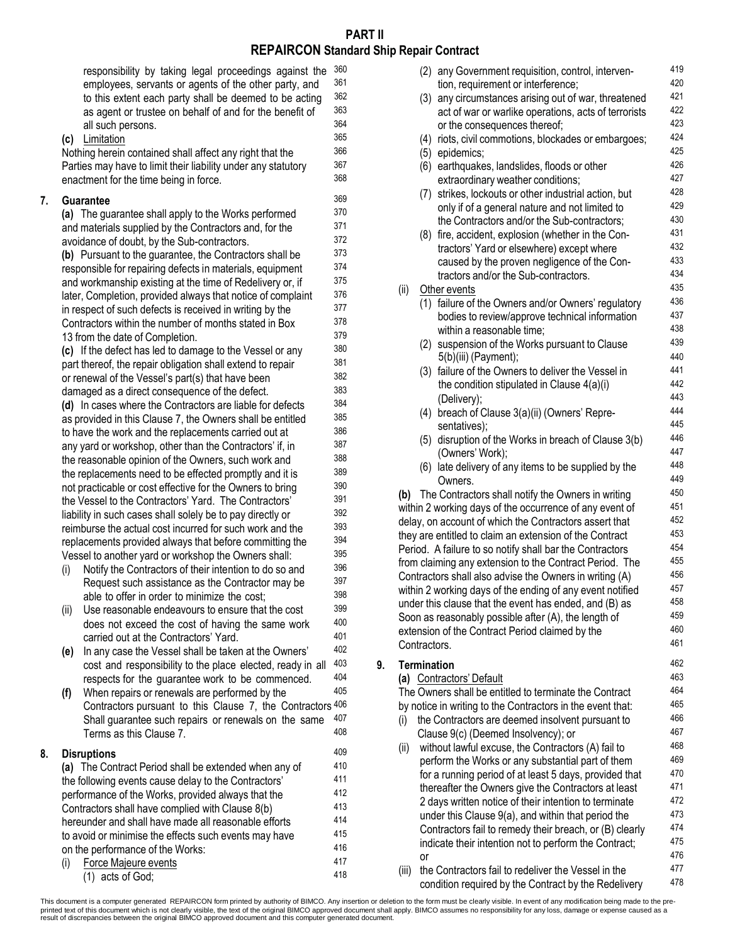responsibility by taking legal proceedings against the 360<br>employees servants or agents of the other party, and 361 employees, servants or agents of the other party, and to this extent each party shall be deemed to be acting  $362$ <br>as agent or trustee on behalf of and for the benefit of  $363$ as agent or trustee on behalf of and for the benefit of  $363$ <br>all such persons all such persons. **(c)** Limitation 365 Nothing herein contained shall affect any right that the 366<br>Parties may have to limit their liability under any statutory 367 Parties may have to limit their liability under any statutory 367<br>anactment for the time being in force enactment for the time being in force. **7. Guarantee** 369 **(a)** The guarantee shall apply to the Works performed and materials supplied by the Contractors and, for the 371 avoidance of doubt, by the Sub-contractors. 372<br>(b) Dursuant to the quarantee, the Contractors shall be 373 **(b)** Pursuant to the guarantee, the Contractors shall be  $373$ <br>responsible for repairing defects in materials equipment  $374$ responsible for repairing defects in materials, equipment 374<br>and workmanship existing at the time of Redelivery or if 375 and workmanship existing at the time of Redelivery or, if later, Completion, provided always that notice of complaint 376<br>in respect of such defects is received in writing by the 377 in respect of such defects is received in writing by the  $377$ <br>Contractors within the number of months stated in Box  $378$ Contractors within the number of months stated in Box 378<br>13 from the date of Completion 13 from the date of Completion.<br>(c) If the defect has led to damage to the Vessel or any  $380$ **(c)** If the defect has led to damage to the Vessel or any part thereof, the repair obligation shall extend to repair 381 or renewal of the Vessel's part(s) that have been  $382$ <br>damaged as a direct consequence of the defect  $383$ damaged as a direct consequence of the defect.  $\frac{383}{\text{d}}$ <br>(d) In cases where the Contractors are liable for defects  $\frac{384}{\text{d}}$ **(d)** In cases where the Contractors are liable for defects as provided in this Clause 7, the Owners shall be entitled  $385$ <br>to have the work and the replacements carried out at  $386$ to have the work and the replacements carried out at 386<br>any vard or workshop, other than the Contractors' if in 387 any yard or workshop, other than the Contractors' if, in  $387$ <br>the reasonable opinion of the Owners, such work and  $388$ the reasonable opinion of the Owners, such work and<br>the replacements peed to be effected promotly and it is the replacements need to be effected promptly and it is  $389$ <br>and practicable or cost effective for the Owners to bring  $390$ not practicable or cost effective for the Owners to bring 390<br>the Vessel to the Contractors' Yard The Contractors' 391 the Vessel to the Contractors' Yard. The Contractors' liability in such cases shall solely be to pay directly or 392 reimburse the actual cost incurred for such work and the 393<br>replacements provided always that before committing the 394 replacements provided always that before committing the 394<br>Vessel to another vard or workshop the Owners shall: 395 Vessel to another yard or workshop the Owners shall: (i) Notify the Contractors of their intention to do so and 396 Request such assistance as the Contractor may be  $397$ <br>able to offer in order to minimize the cost:  $398$ able to offer in order to minimize the cost; Use reasonable endeavours to ensure that the cost 399 does not exceed the cost of having the same work 400<br>carried out at the Contractors' Yard carried out at the Contractors' Yard. 401<br>In any case the Vessel shall be taken at the Owners' 402 **(e)** In any case the Vessel shall be taken at the Owners' cost and responsibility to the place elected, ready in all 403<br>respects for the quarantee work to be commenced 404 respects for the guarantee work to be commenced. **(f)** When repairs or renewals are performed by the  $405$ Contractors pursuant to this Clause 7, the Contractors 406 Shall guarantee such repairs or renewals on the same  $407$ <br>Terms as this Clause 7 Terms as this Clause 7. **8. Disruptions** 409 **(a)** The Contract Period shall be extended when any of the following events cause delay to the Contractors' 411 performance of the Works, provided always that the 412<br>Contractors shall have complied with Clause 8(b) 413 Contractors shall have complied with Clause  $8(b)$   $413$ <br>hereunder and shall have made all reasonable efforts  $414$ hereunder and shall have made all reasonable efforts to avoid or minimise the effects such events may have  $415$ on the performance of the Works: 416<br>(i) Force Majeure events 417 (i) Force Majeure events (1) acts of God; 418 (2) any Government requisition, control, interven-(3) any circumstances arising out of war, threatened 421

(i) the Contractors are deemed insolvent pursuant to 466 Clause 9(c) (Deemed Insolvency); or 467 (ii) without lawful excuse, the Contractors  $(A)$  fail to  $468$ <br>nerform the Werks or any substantial part of them  $469$ perform the Works or any substantial part of them for a running period of at least  $5$  days, provided that  $470$ thereafter the Owners give the Contractors at least 471<br>2 days written potice of their intention to terminate 472 2 days written notice of their intention to terminate under this Clause  $9(a)$ , and within that period the  $473$ Contractors fail to remedy their breach, or (B) clearly 474 indicate their intention not to perform the Contract;<br>or 476 or 476 (iii) the Contractors fail to redeliver the Vessel in the 477 condition required by the Contract by the Redelivery 478 act of war or warlike operations, acts of terrorists 422<br>or the consequences thereof: 423 or the consequences thereof;  $423$ <br>riots civil commotions blockades or embargoes: 424 (4) riots, civil commotions, blockades or embargoes; 424 (5) epidemics; 425 (6) earthquakes, landslides, floods or other  $426$ <br>extraordinary weather conditions:  $427$ extraordinary weather conditions; (7) strikes, lockouts or other industrial action, but  $428$ only if of a general nature and not limited to 429 the Contractors and/or the Sub-contractors; 430 (8) fire, accident, explosion (whether in the Con-431 tractors' Yard or elsewhere) except where 432 caused by the proven negligence of the Con-433 tractors and/or the Sub-contractors. 434<br>er events (ii) Other events (1) failure of the Owners and/or Owners' regulatory  $436$ <br>hodies to review/approve technical information  $437$ bodies to review/approve technical information within a reasonable time:  $438$ (2) suspension of the Works pursuant to Clause 439 5(b)(iii) (Payment); 440 (3) failure of the Owners to deliver the Vessel in 441 the condition stipulated in Clause  $4(a)(i)$  442 (Delivery); 443 (4) breach of Clause 3(a)(ii) (Owners' Repre-444 sentatives);<br>disruption of the Works in breach of Clause 3(b) 446 (5) disruption of the Works in breach of Clause 3(b)  $446$ <br>(Owners' Work):  $447$ (Owners' Work); 447 (6) late delivery of any items to be supplied by the  $\frac{448}{449}$ Owners. **(b)** The Contractors shall notify the Owners in writing  $450$ <br>within 2 working days of the occurrence of any event of  $451$ within 2 working days of the occurrence of any event of delay, on account of which the Contractors assert that 452 they are entitled to claim an extension of the Contract  $453$ <br>Period A failure to so notify shall har the Contractors 454 Period. A failure to so notify shall bar the Contractors  $454$ <br>from claiming any extension to the Contract Period. The 455 from claiming any extension to the Contract Period. The Contractors shall also advise the Owners in writing (A) 456 within 2 working days of the ending of any event notified  $457$ <br>under this clause that the event has ended and (B) as  $458$ under this clause that the event has ended, and  $(B)$  as Soon as reasonably possible after  $(A)$ , the length of  $459$ extension of the Contract Period claimed by the 460<br>Contractors Contractors. **9. Termination** 462<br> **19. Contractors' Default** 463 **(a)** <u>Contractors' Default</u> 463<br>The Owners shall be entitled to terminate the Contract 464 The Owners shall be entitled to terminate the Contract by notice in writing to the Contractors in the event that: 465

tion, requirement or interference; 420

419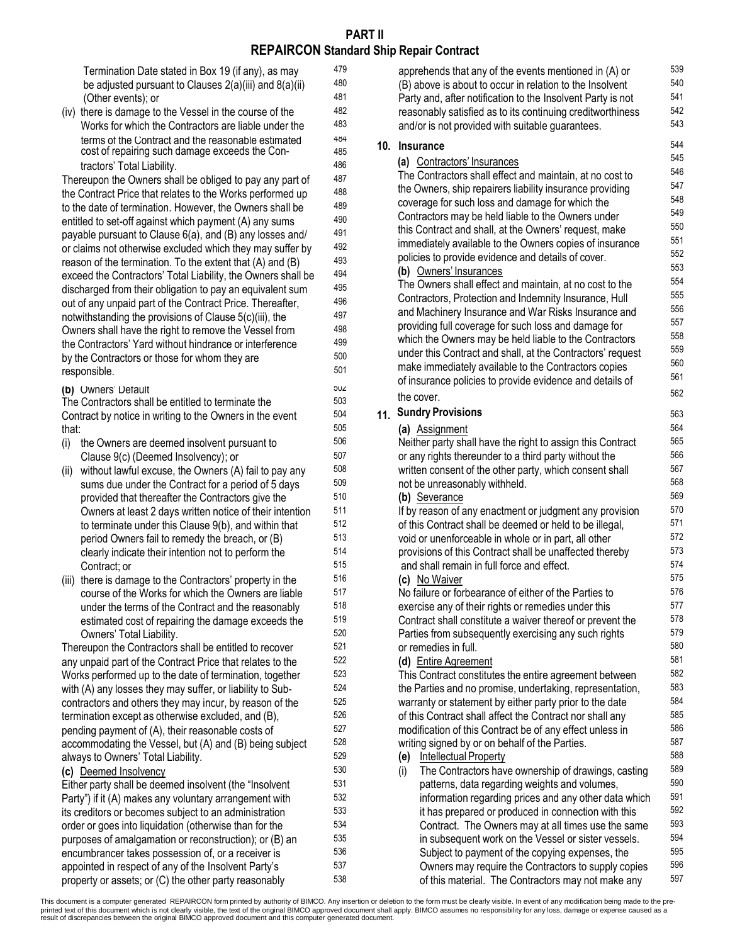### **(b)** Owners' Default

- (i) the Owners are deemed insolvent pursuant to  $506$ Clause 9(c) (Deemed Insolvency); or 507
- (ii) without lawful excuse, the Owners (A) fail to pay any  $508$ sums due under the Contract for a period of 5 days 509 provided that thereafter the Contractors give the 510 Owners at least 2 days written notice of their intention  $511$ <br>In terminate under this Clause 9(b) and within that  $512$ to terminate under this Clause 9(b), and within that period Owners fail to remedy the breach, or (B) 513 clearly indicate their intention not to perform the 514
- (iii) there is damage to the Contractors' property in the 516 course of the Works for which the Owners are liable 517<br>under the terms of the Contract and the reasonably 518 under the terms of the Contract and the reasonably estimated cost of repairing the damage exceeds the 519 Owners' Total Liability. 520

#### **(c)** Deemed Insolvency 530

Either party shall be deemed insolvent (the "Insolvent 531 Party") if it (A) makes any voluntary arrangement with 532 its creditors or becomes subject to an administration 533<br>
order or goes into liquidation (otherwise than for the 534 order or goes into liquidation (otherwise than for the  $534$ <br>purposes of amalgamation or reconstruction): or  $(R)$  an  $535$ purposes of amalgamation or reconstruction); or (B) an encumbrancer takes possession of, or a receiver is  $536$ appointed in respect of any of the Insolvent Party's 537 property or assets; or (C) the other party reasonably 538 of this material. The Contractors may not make any 597

|       | Termination Date stated in Box 19 (if any), as may                                                   | 479        |     | apprehends that any of the events mentioned in (A) or       | 539    |
|-------|------------------------------------------------------------------------------------------------------|------------|-----|-------------------------------------------------------------|--------|
|       | be adjusted pursuant to Clauses $2(a)(iii)$ and $8(a)(ii)$                                           | 480        |     | (B) above is about to occur in relation to the Insolvent    | 540    |
|       | (Other events); or                                                                                   | 481        |     | Party and, after notification to the Insolvent Party is not | 541    |
|       | (iv) there is damage to the Vessel in the course of the                                              | 482        |     | reasonably satisfied as to its continuing creditworthiness  | 542    |
|       | Works for which the Contractors are liable under the                                                 | 483        |     | and/or is not provided with suitable guarantees.            | 543    |
|       | terms of the Contract and the reasonable estimated<br>cost of repairing such damage exceeds the Con- | 484<br>485 |     | 10. Insurance                                               | 544    |
|       | tractors' Total Liability.                                                                           | 486        |     | (a) Contractors' Insurances                                 | 545    |
|       | Thereupon the Owners shall be obliged to pay any part of                                             | 487        |     | The Contractors shall effect and maintain, at no cost to    | 546    |
|       | the Contract Price that relates to the Works performed up                                            | 488        |     | the Owners, ship repairers liability insurance providing    | 547    |
|       | to the date of termination. However, the Owners shall be                                             | 489        |     | coverage for such loss and damage for which the             | 548    |
|       | entitled to set-off against which payment (A) any sums                                               | 490        |     | Contractors may be held liable to the Owners under          | 549    |
|       | payable pursuant to Clause 6(a), and (B) any losses and/                                             | 491        |     | this Contract and shall, at the Owners' request, make       | 550    |
|       | or claims not otherwise excluded which they may suffer by                                            | 492        |     | immediately available to the Owners copies of insurance     | 551    |
|       | reason of the termination. To the extent that (A) and (B)                                            | 493        |     | policies to provide evidence and details of cover.          | 552    |
|       | exceed the Contractors' Total Liability, the Owners shall be                                         | 494        |     | (b) Owners' Insurances                                      | 553    |
|       | discharged from their obligation to pay an equivalent sum                                            | 495        |     | The Owners shall effect and maintain, at no cost to the     | 554    |
|       | out of any unpaid part of the Contract Price. Thereafter,                                            | 496        |     | Contractors, Protection and Indemnity Insurance, Hull       | 555    |
|       | notwithstanding the provisions of Clause 5(c)(iii), the                                              | 497        |     | and Machinery Insurance and War Risks Insurance and         | 556    |
|       | Owners shall have the right to remove the Vessel from                                                | 498        |     | providing full coverage for such loss and damage for        | 557    |
|       | the Contractors' Yard without hindrance or interference                                              | 499        |     | which the Owners may be held liable to the Contractors      | 558    |
|       | by the Contractors or those for whom they are                                                        | 500        |     | under this Contract and shall, at the Contractors' request  | 559    |
|       | responsible.                                                                                         | 501        |     | make immediately available to the Contractors copies        | 560    |
|       |                                                                                                      | <b>SUZ</b> |     | of insurance policies to provide evidence and details of    | 561    |
|       | (b) Owners' Detault<br>The Contractors shall be entitled to terminate the                            | 503        |     | the cover.                                                  | 562    |
|       | Contract by notice in writing to the Owners in the event                                             | 504        | 11. | <b>Sundry Provisions</b>                                    | 563    |
| that: |                                                                                                      | 505        |     | (a) Assignment                                              | 564    |
| (i)   | the Owners are deemed insolvent pursuant to                                                          | 506        |     | Neither party shall have the right to assign this Contract  | 565    |
|       | Clause 9(c) (Deemed Insolvency); or                                                                  | 507        |     | or any rights thereunder to a third party without the       | 566    |
| (ii)  | without lawful excuse, the Owners (A) fail to pay any                                                | 508        |     | written consent of the other party, which consent shall     | 567    |
|       | sums due under the Contract for a period of 5 days                                                   | 509        |     | not be unreasonably withheld.                               | 568    |
|       | provided that thereafter the Contractors give the                                                    | 510        |     | (b) Severance                                               | 569    |
|       | Owners at least 2 days written notice of their intention                                             | 511        |     | If by reason of any enactment or judgment any provision     | 570    |
|       | to terminate under this Clause 9(b), and within that                                                 | 512        |     | of this Contract shall be deemed or held to be illegal,     | 571    |
|       | period Owners fail to remedy the breach, or (B)                                                      | 513        |     | void or unenforceable in whole or in part, all other        | 572    |
|       | clearly indicate their intention not to perform the                                                  | 514        |     | provisions of this Contract shall be unaffected thereby     | 573    |
|       | Contract; or                                                                                         | 515        |     | and shall remain in full force and effect.                  | 574    |
|       | (iii) there is damage to the Contractors' property in the                                            | 516        |     | (c) No Waiver                                               | 575    |
|       | course of the Works for which the Owners are liable                                                  | 517        |     | No failure or forbearance of either of the Parties to       | 576    |
|       | under the terms of the Contract and the reasonably                                                   | 518        |     | exercise any of their rights or remedies under this         | 577    |
|       | estimated cost of repairing the damage exceeds the                                                   | 519        |     | Contract shall constitute a waiver thereof or prevent the   | 578    |
|       | Owners' Total Liability.                                                                             | 520        |     | Parties from subsequently exercising any such rights        | 579    |
|       | Thereupon the Contractors shall be entitled to recover                                               | 521        |     | or remedies in full.                                        | 580    |
|       | any unpaid part of the Contract Price that relates to the                                            | 522        |     | (d) Entire Agreement                                        | 581    |
|       | Works performed up to the date of termination, together                                              | 523        |     | This Contract constitutes the entire agreement between      | 582    |
|       | with (A) any losses they may suffer, or liability to Sub-                                            | 524        |     | the Parties and no promise, undertaking, representation,    | 583    |
|       | contractors and others they may incur, by reason of the                                              | 525        |     | warranty or statement by either party prior to the date     | 584    |
|       | termination except as otherwise excluded, and (B),                                                   | 526        |     | of this Contract shall affect the Contract nor shall any    | 585    |
|       | pending payment of (A), their reasonable costs of                                                    | 527        |     | modification of this Contract be of any effect unless in    | 586    |
|       | accommodating the Vessel, but (A) and (B) being subject                                              | 528        |     | writing signed by or on behalf of the Parties.              | 587    |
|       | always to Owners' Total Liability.                                                                   | 529        |     | <b>Intellectual Property</b><br>(e)                         | 588    |
|       | (c) Deemed Insolvency                                                                                | 530        |     | The Contractors have ownership of drawings, casting<br>(i)  | 589    |
|       | Either party shall be deemed insolvent (the "Insolvent                                               | 531        |     | patterns, data regarding weights and volumes,               | 590    |
|       | Party") if it (A) makes any voluntary arrangement with                                               | 532        |     | information regarding prices and any other data which       | 591    |
|       | its creditors or becomes subject to an administration                                                | 533        |     | it has prepared or produced in connection with this         | 592    |
|       | order or goes into liquidation (otherwise than for the                                               | 534        |     | Contract. The Owners may at all times use the same          | 593    |
|       | purposes of amalgamation or reconstruction); or (B) an                                               | 535        |     | in subsequent work on the Vessel or sister vessels.         | 594    |
|       | encumbrancer takes possession of, or a receiver is                                                   | 536        |     | Subject to payment of the copying expenses, the             | 595    |
|       | appointed in respect of any of the Insolvent Party's                                                 | 537        |     | Owners may require the Contractors to supply copies         | 596    |
|       |                                                                                                      | $-0o$      |     |                                                             | $\sim$ |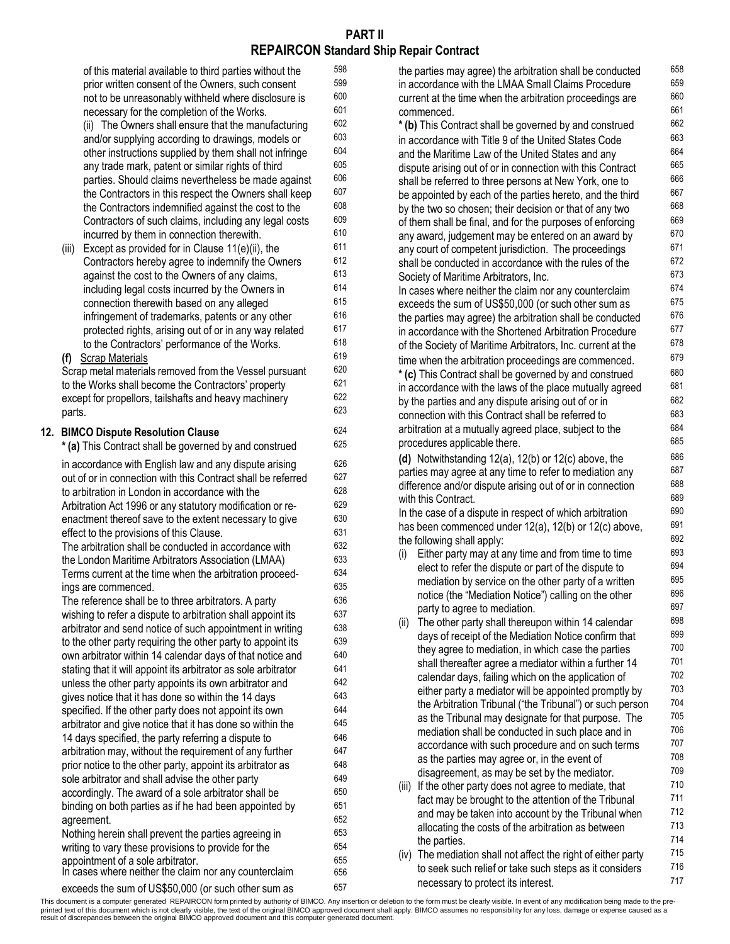| of this material available to third parties without the        | 598 | the parties may agree) the arbitration shall be conducted     | 658 |
|----------------------------------------------------------------|-----|---------------------------------------------------------------|-----|
| prior written consent of the Owners, such consent              | 599 | in accordance with the LMAA Small Claims Procedure            | 659 |
|                                                                | 600 |                                                               | 660 |
| not to be unreasonably withheld where disclosure is            | 601 | current at the time when the arbitration proceedings are      | 661 |
| necessary for the completion of the Works.                     |     | commenced.                                                    |     |
| (ii) The Owners shall ensure that the manufacturing            | 602 | * (b) This Contract shall be governed by and construed        | 662 |
| and/or supplying according to drawings, models or              | 603 | in accordance with Title 9 of the United States Code          | 663 |
| other instructions supplied by them shall not infringe         | 604 | and the Maritime Law of the United States and any             | 664 |
| any trade mark, patent or similar rights of third              | 605 | dispute arising out of or in connection with this Contract    | 665 |
| parties. Should claims nevertheless be made against            | 606 | shall be referred to three persons at New York, one to        | 666 |
| the Contractors in this respect the Owners shall keep          | 607 | be appointed by each of the parties hereto, and the third     | 667 |
|                                                                | 608 |                                                               | 668 |
| the Contractors indemnified against the cost to the            | 609 | by the two so chosen; their decision or that of any two       | 669 |
| Contractors of such claims, including any legal costs          |     | of them shall be final, and for the purposes of enforcing     |     |
| incurred by them in connection therewith.                      | 610 | any award, judgement may be entered on an award by            | 670 |
| Except as provided for in Clause 11(e)(ii), the<br>(iii)       | 611 | any court of competent jurisdiction. The proceedings          | 671 |
| Contractors hereby agree to indemnify the Owners               | 612 | shall be conducted in accordance with the rules of the        | 672 |
| against the cost to the Owners of any claims,                  | 613 | Society of Maritime Arbitrators, Inc.                         | 673 |
| including legal costs incurred by the Owners in                | 614 | In cases where neither the claim nor any counterclaim         | 674 |
| connection therewith based on any alleged                      | 615 | exceeds the sum of US\$50,000 (or such other sum as           | 675 |
| infringement of trademarks, patents or any other               | 616 | the parties may agree) the arbitration shall be conducted     | 676 |
| protected rights, arising out of or in any way related         | 617 | in accordance with the Shortened Arbitration Procedure        | 677 |
| to the Contractors' performance of the Works.                  | 618 |                                                               | 678 |
|                                                                | 619 | of the Society of Maritime Arbitrators, Inc. current at the   | 679 |
| <b>Scrap Materials</b><br>(f)                                  | 620 | time when the arbitration proceedings are commenced.          |     |
| Scrap metal materials removed from the Vessel pursuant         |     | * (c) This Contract shall be governed by and construed        | 680 |
| to the Works shall become the Contractors' property            | 621 | in accordance with the laws of the place mutually agreed      | 681 |
| except for propellors, tailshafts and heavy machinery          | 622 | by the parties and any dispute arising out of or in           | 682 |
| parts.                                                         | 623 | connection with this Contract shall be referred to            | 683 |
| 12. BIMCO Dispute Resolution Clause                            | 624 | arbitration at a mutually agreed place, subject to the        | 684 |
| * (a) This Contract shall be governed by and construed         | 625 | procedures applicable there.                                  | 685 |
|                                                                |     | (d) Notwithstanding $12(a)$ , $12(b)$ or $12(c)$ above, the   | 686 |
| in accordance with English law and any dispute arising         | 626 |                                                               | 687 |
| out of or in connection with this Contract shall be referred   | 627 | parties may agree at any time to refer to mediation any       | 688 |
| to arbitration in London in accordance with the                | 628 | difference and/or dispute arising out of or in connection     |     |
| Arbitration Act 1996 or any statutory modification or re-      | 629 | with this Contract.                                           | 689 |
| enactment thereof save to the extent necessary to give         | 630 | In the case of a dispute in respect of which arbitration      | 690 |
| effect to the provisions of this Clause.                       | 631 | has been commenced under 12(a), 12(b) or 12(c) above,         | 691 |
| The arbitration shall be conducted in accordance with          | 632 | the following shall apply:                                    | 692 |
|                                                                | 633 | Either party may at any time and from time to time<br>(i)     | 693 |
| the London Maritime Arbitrators Association (LMAA)             | 634 | elect to refer the dispute or part of the dispute to          | 694 |
| Terms current at the time when the arbitration proceed-        |     | mediation by service on the other party of a written          | 695 |
| ings are commenced.                                            | 635 | notice (the "Mediation Notice") calling on the other          | 696 |
| The reference shall be to three arbitrators. A party           | 636 | party to agree to mediation.                                  | 697 |
| wishing to refer a dispute to arbitration shall appoint its    | 637 | The other party shall thereupon within 14 calendar<br>(11)    | 698 |
| arbitrator and send notice of such appointment in writing      | 638 |                                                               | 699 |
| to the other party requiring the other party to appoint its    | 639 | days of receipt of the Mediation Notice confirm that          | 700 |
| own arbitrator within 14 calendar days of that notice and      | 640 | they agree to mediation, in which case the parties            |     |
| stating that it will appoint its arbitrator as sole arbitrator | 641 | shall thereafter agree a mediator within a further 14         | 701 |
| unless the other party appoints its own arbitrator and         | 642 | calendar days, failing which on the application of            | 702 |
| gives notice that it has done so within the 14 days            | 643 | either party a mediator will be appointed promptly by         | 703 |
| specified. If the other party does not appoint its own         | 644 | the Arbitration Tribunal ("the Tribunal") or such person      | 704 |
|                                                                | 645 | as the Tribunal may designate for that purpose. The           | 705 |
| arbitrator and give notice that it has done so within the      | 646 | mediation shall be conducted in such place and in             | 706 |
| 14 days specified, the party referring a dispute to            |     | accordance with such procedure and on such terms              | 707 |
| arbitration may, without the requirement of any further        | 647 | as the parties may agree or, in the event of                  | 708 |
| prior notice to the other party, appoint its arbitrator as     | 648 | disagreement, as may be set by the mediator.                  | 709 |
| sole arbitrator and shall advise the other party               | 649 | If the other party does not agree to mediate, that<br>(III)   | 710 |
| accordingly. The award of a sole arbitrator shall be           | 650 | fact may be brought to the attention of the Tribunal          | 711 |
| binding on both parties as if he had been appointed by         | 651 |                                                               | 712 |
| agreement.                                                     | 652 | and may be taken into account by the Tribunal when            | 713 |
| Nothing herein shall prevent the parties agreeing in           | 653 | allocating the costs of the arbitration as between            |     |
| writing to vary these provisions to provide for the            | 654 | the parties.                                                  | 714 |
| appointment of a sole arbitrator.                              | 655 | (iv) The mediation shall not affect the right of either party | 715 |
| In cases where neither the claim nor any counterclaim          | 656 | to seek such relief or take such steps as it considers        | 716 |
| exceeds the sum of US\$50,000 (or such other sum as            | 657 | necessary to protect its interest.                            | 717 |
|                                                                |     |                                                               |     |

This document is a computer generated REPAIRCON form printed by authority of BIMCO. Any insertion or deletion to the form must be clearly visible. In event of any modification being made to the pre-<br>printed text of this d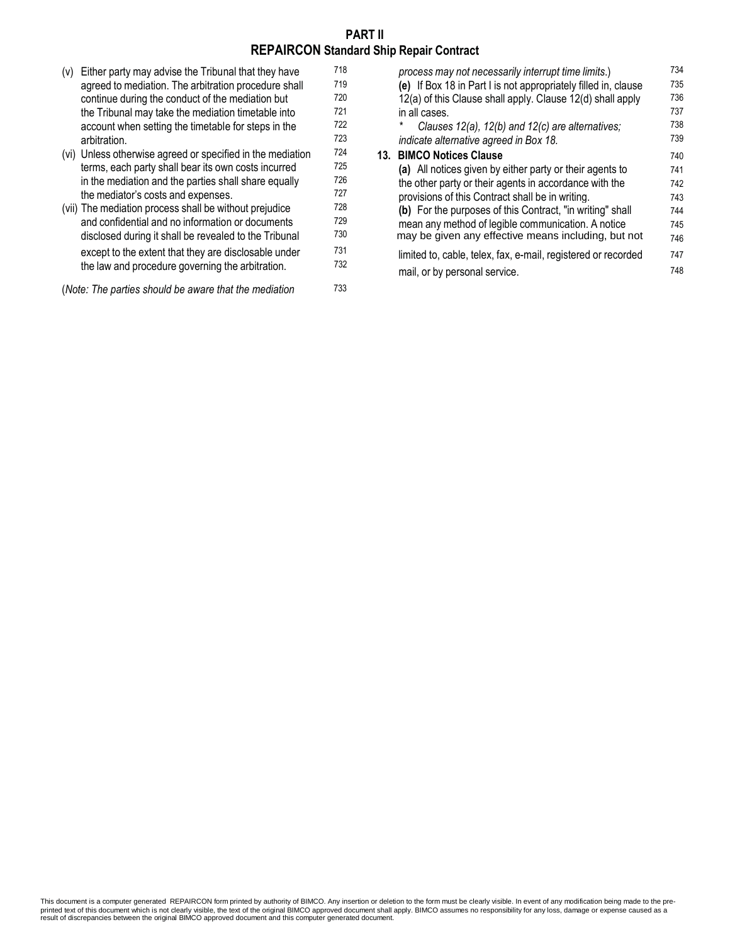| Either party may advise the Tribunal that they have<br>(v) | 718 |     | process may not necessarily interrupt time limits.)            | 734 |
|------------------------------------------------------------|-----|-----|----------------------------------------------------------------|-----|
| agreed to mediation. The arbitration procedure shall       | 719 |     | (e) If Box 18 in Part I is not appropriately filled in, clause | 735 |
| continue during the conduct of the mediation but           | 720 |     | 12(a) of this Clause shall apply. Clause 12(d) shall apply     | 736 |
| the Tribunal may take the mediation timetable into         | 721 |     | in all cases.                                                  | 737 |
| account when setting the timetable for steps in the        | 722 |     | Clauses 12(a), 12(b) and 12(c) are alternatives;               | 738 |
| arbitration.                                               | 723 |     | indicate alternative agreed in Box 18.                         | 739 |
| (vi) Unless otherwise agreed or specified in the mediation | 724 | 13. | <b>BIMCO Notices Clause</b>                                    | 740 |
| terms, each party shall bear its own costs incurred        | 725 |     | (a) All notices given by either party or their agents to       | 741 |
| in the mediation and the parties shall share equally       | 726 |     | the other party or their agents in accordance with the         | 742 |
| the mediator's costs and expenses.                         | 727 |     | provisions of this Contract shall be in writing.               | 743 |
| (vii) The mediation process shall be without prejudice     | 728 |     | (b) For the purposes of this Contract, "in writing" shall      | 744 |
| and confidential and no information or documents           | 729 |     | mean any method of legible communication. A notice             | 745 |
| disclosed during it shall be revealed to the Tribunal      | 730 |     | may be given any effective means including, but not            | 746 |
| except to the extent that they are disclosable under       | 731 |     | limited to, cable, telex, fax, e-mail, registered or recorded  | 747 |
| the law and procedure governing the arbitration.           | 732 |     |                                                                | 748 |
|                                                            |     |     | mail, or by personal service.                                  |     |
| (Note: The parties should be aware that the mediation      | 733 |     |                                                                |     |

746

747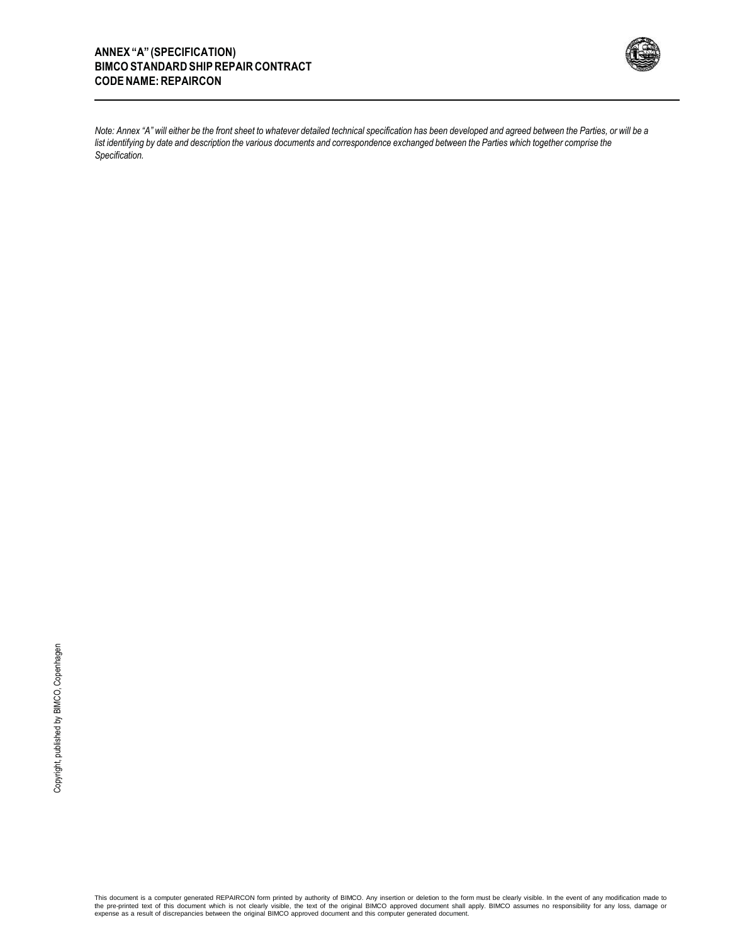## **ANNEX"A" (SPECIFICATION) BIMCOSTANDARDSHIPREPAIRCONTRACT CODENAME:REPAIRCON**



Note: Annex "A" will either be the front sheet to whatever detailed technical specification has been developed and agreed between the Parties, or will be a list identifying by date and description the various documents and correspondence exchanged between the Parties which together comprise the *Specification.*

This document is a computer generated REPAIRCON form printed by authority of BIMCO. Any insertion or deletion to the form must be clearly visible. In the event of any modification made to<br>the pre-printed text of this docum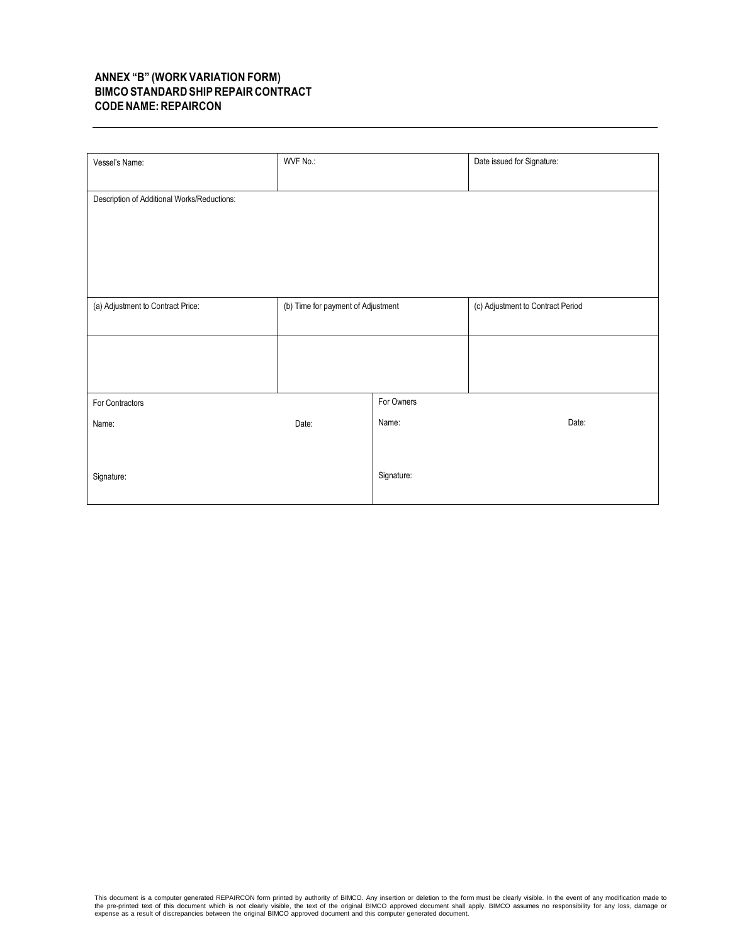## **ANNEX "B" (WORK VARIATION FORM) BIMCOSTANDARDSHIPREPAIRCONTRACT CODENAME:REPAIRCON**

| Vessel's Name:                              | WVF No.:                           |            | Date issued for Signature:        |  |
|---------------------------------------------|------------------------------------|------------|-----------------------------------|--|
|                                             |                                    |            |                                   |  |
|                                             |                                    |            |                                   |  |
| Description of Additional Works/Reductions: |                                    |            |                                   |  |
|                                             |                                    |            |                                   |  |
|                                             |                                    |            |                                   |  |
|                                             |                                    |            |                                   |  |
|                                             |                                    |            |                                   |  |
|                                             |                                    |            |                                   |  |
|                                             |                                    |            |                                   |  |
|                                             |                                    |            |                                   |  |
| (a) Adjustment to Contract Price:           | (b) Time for payment of Adjustment |            | (c) Adjustment to Contract Period |  |
|                                             |                                    |            |                                   |  |
|                                             |                                    |            |                                   |  |
|                                             |                                    |            |                                   |  |
|                                             |                                    |            |                                   |  |
|                                             |                                    |            |                                   |  |
|                                             |                                    |            |                                   |  |
| For Contractors                             |                                    | For Owners |                                   |  |
|                                             |                                    |            |                                   |  |
| Name:                                       | Date:                              | Name:      | Date:                             |  |
|                                             |                                    |            |                                   |  |
|                                             |                                    |            |                                   |  |
|                                             |                                    |            |                                   |  |
| Signature:                                  |                                    | Signature: |                                   |  |
|                                             |                                    |            |                                   |  |
|                                             |                                    |            |                                   |  |